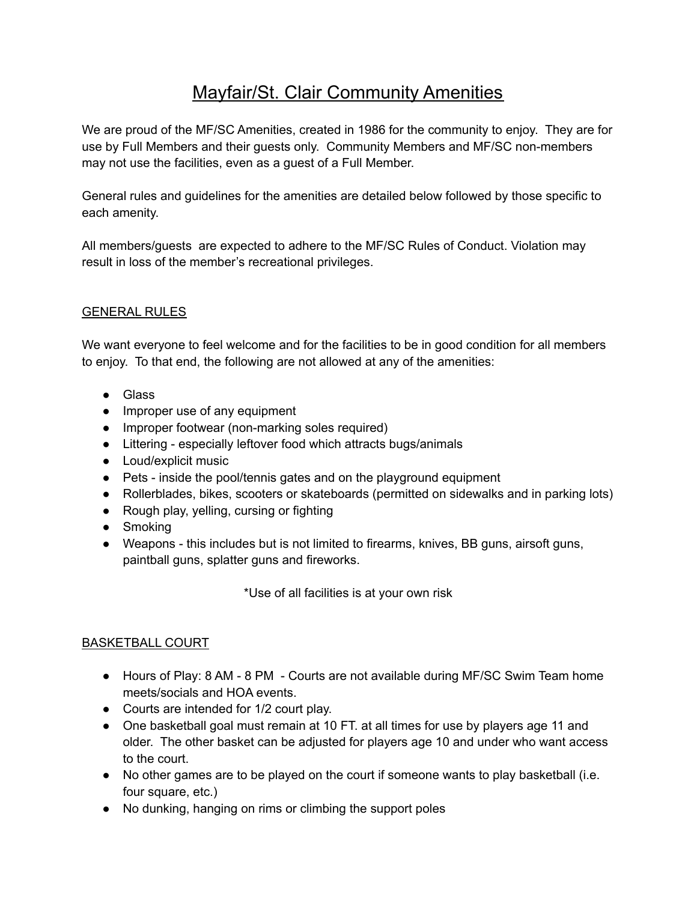# Mayfair/St. Clair Community Amenities

We are proud of the MF/SC Amenities, created in 1986 for the community to enjoy. They are for use by Full Members and their guests only. Community Members and MF/SC non-members may not use the facilities, even as a guest of a Full Member.

General rules and guidelines for the amenities are detailed below followed by those specific to each amenity.

All members/guests are expected to adhere to the MF/SC Rules of Conduct. Violation may result in loss of the member's recreational privileges.

# GENERAL RULES

We want everyone to feel welcome and for the facilities to be in good condition for all members to enjoy. To that end, the following are not allowed at any of the amenities:

- Glass
- Improper use of any equipment
- Improper footwear (non-marking soles required)
- Littering especially leftover food which attracts bugs/animals
- Loud/explicit music
- Pets inside the pool/tennis gates and on the playground equipment
- Rollerblades, bikes, scooters or skateboards (permitted on sidewalks and in parking lots)
- Rough play, yelling, cursing or fighting
- Smoking
- Weapons this includes but is not limited to firearms, knives, BB guns, airsoft guns, paintball guns, splatter guns and fireworks.

\*Use of all facilities is at your own risk

# BASKETBALL COURT

- Hours of Play: 8 AM 8 PM Courts are not available during MF/SC Swim Team home meets/socials and HOA events.
- Courts are intended for 1/2 court play.
- One basketball goal must remain at 10 FT. at all times for use by players age 11 and older. The other basket can be adjusted for players age 10 and under who want access to the court.
- No other games are to be played on the court if someone wants to play basketball (i.e. four square, etc.)
- No dunking, hanging on rims or climbing the support poles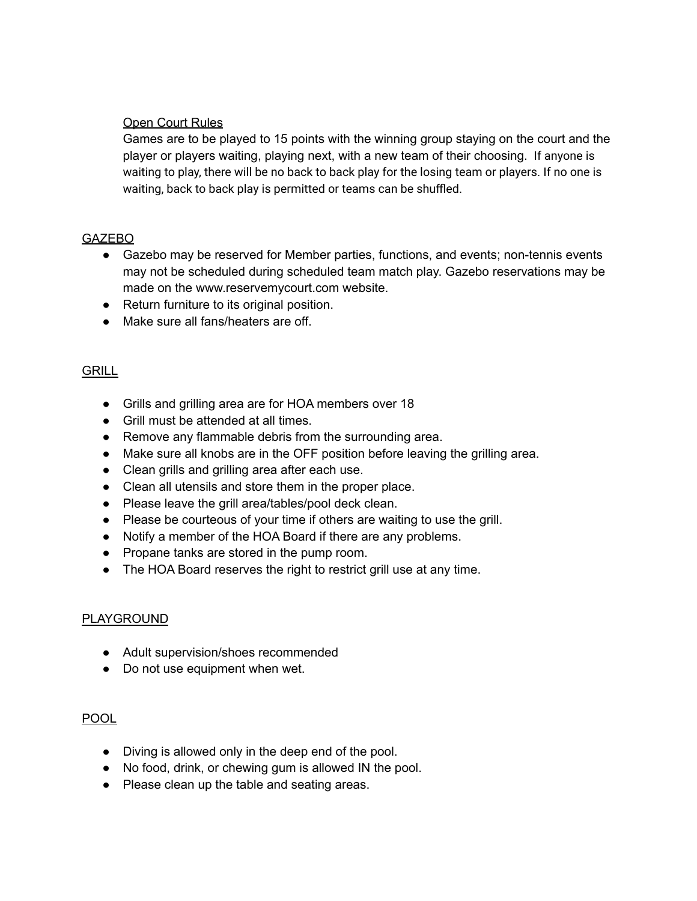#### Open Court Rules

Games are to be played to 15 points with the winning group staying on the court and the player or players waiting, playing next, with a new team of their choosing. If anyone is waiting to play, there will be no back to back play for the losing team or players. If no one is waiting, back to back play is permitted or teams can be shuffled.

#### **GAZEBO**

- Gazebo may be reserved for Member parties, functions, and events; non-tennis events may not be scheduled during scheduled team match play. Gazebo reservations may be made on the www.reservemycourt.com website.
- Return furniture to its original position.
- Make sure all fans/heaters are off.

#### **GRILL**

- Grills and grilling area are for HOA members over 18
- Grill must be attended at all times.
- Remove any flammable debris from the surrounding area.
- Make sure all knobs are in the OFF position before leaving the grilling area.
- Clean grills and grilling area after each use.
- Clean all utensils and store them in the proper place.
- Please leave the grill area/tables/pool deck clean.
- Please be courteous of your time if others are waiting to use the grill.
- Notify a member of the HOA Board if there are any problems.
- Propane tanks are stored in the pump room.
- The HOA Board reserves the right to restrict grill use at any time.

#### PLAYGROUND

- Adult supervision/shoes recommended
- Do not use equipment when wet.

#### POOL

- Diving is allowed only in the deep end of the pool.
- No food, drink, or chewing gum is allowed IN the pool.
- Please clean up the table and seating areas.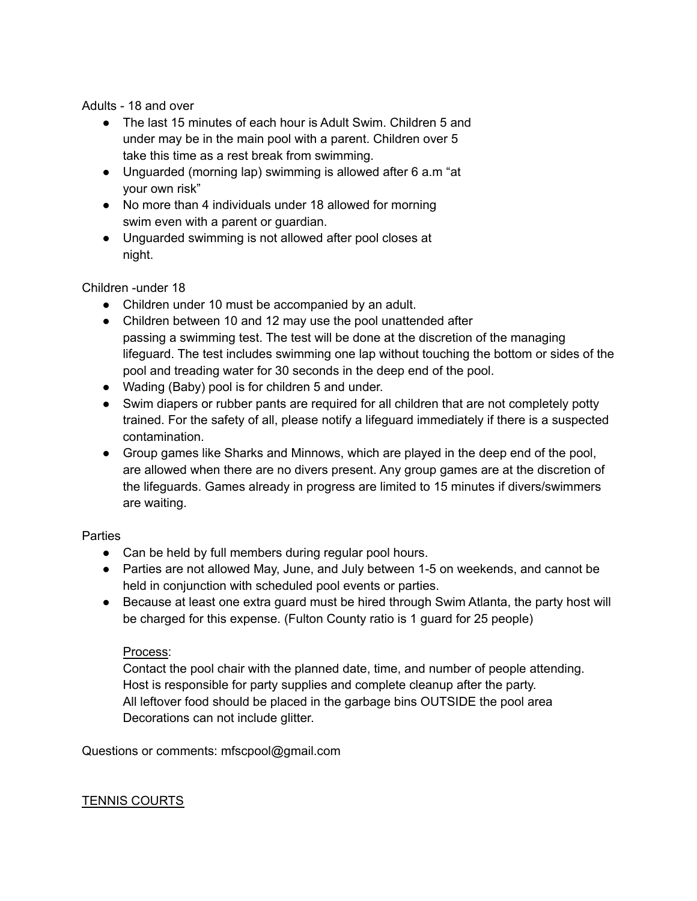Adults - 18 and over

- The last 15 minutes of each hour is Adult Swim. Children 5 and under may be in the main pool with a parent. Children over 5 take this time as a rest break from swimming.
- Unguarded (morning lap) swimming is allowed after 6 a.m "at your own risk"
- No more than 4 individuals under 18 allowed for morning swim even with a parent or guardian.
- Unguarded swimming is not allowed after pool closes at night.

Children -under 18

- Children under 10 must be accompanied by an adult.
- Children between 10 and 12 may use the pool unattended after passing a swimming test. The test will be done at the discretion of the managing lifeguard. The test includes swimming one lap without touching the bottom or sides of the pool and treading water for 30 seconds in the deep end of the pool.
- Wading (Baby) pool is for children 5 and under.
- Swim diapers or rubber pants are required for all children that are not completely potty trained. For the safety of all, please notify a lifeguard immediately if there is a suspected contamination.
- Group games like Sharks and Minnows, which are played in the deep end of the pool, are allowed when there are no divers present. Any group games are at the discretion of the lifeguards. Games already in progress are limited to 15 minutes if divers/swimmers are waiting.

## **Parties**

- Can be held by full members during regular pool hours.
- Parties are not allowed May, June, and July between 1-5 on weekends, and cannot be held in conjunction with scheduled pool events or parties.
- Because at least one extra guard must be hired through Swim Atlanta, the party host will be charged for this expense. (Fulton County ratio is 1 guard for 25 people)

## Process:

Contact the pool chair with the planned date, time, and number of people attending. Host is responsible for party supplies and complete cleanup after the party. All leftover food should be placed in the garbage bins OUTSIDE the pool area Decorations can not include glitter.

Questions or comments: mfscpool@gmail.com

## TENNIS COURTS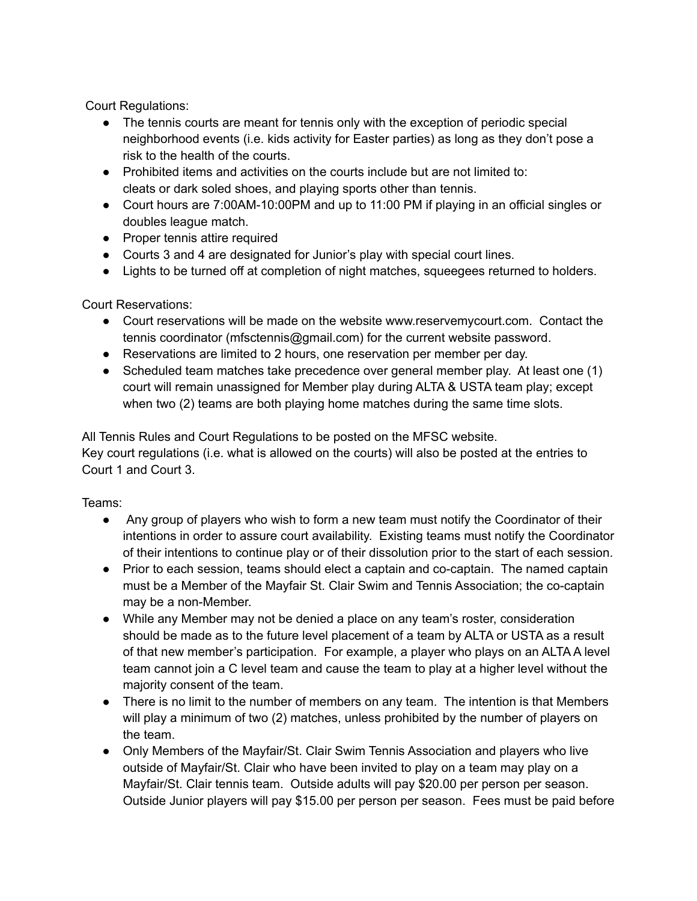Court Regulations:

- The tennis courts are meant for tennis only with the exception of periodic special neighborhood events (i.e. kids activity for Easter parties) as long as they don't pose a risk to the health of the courts.
- Prohibited items and activities on the courts include but are not limited to: cleats or dark soled shoes, and playing sports other than tennis.
- Court hours are 7:00AM-10:00PM and up to 11:00 PM if playing in an official singles or doubles league match.
- Proper tennis attire required
- Courts 3 and 4 are designated for Junior's play with special court lines.
- Lights to be turned off at completion of night matches, squeegees returned to holders.

Court Reservations:

- Court reservations will be made on the website www.reservemycourt.com. Contact the tennis coordinator (mfsctennis@gmail.com) for the current website password.
- Reservations are limited to 2 hours, one reservation per member per day.
- Scheduled team matches take precedence over general member play. At least one (1) court will remain unassigned for Member play during ALTA & USTA team play; except when two (2) teams are both playing home matches during the same time slots.

All Tennis Rules and Court Regulations to be posted on the MFSC website. Key court regulations (i.e. what is allowed on the courts) will also be posted at the entries to Court 1 and Court 3.

Teams:

- Any group of players who wish to form a new team must notify the Coordinator of their intentions in order to assure court availability. Existing teams must notify the Coordinator of their intentions to continue play or of their dissolution prior to the start of each session.
- Prior to each session, teams should elect a captain and co-captain. The named captain must be a Member of the Mayfair St. Clair Swim and Tennis Association; the co-captain may be a non-Member.
- While any Member may not be denied a place on any team's roster, consideration should be made as to the future level placement of a team by ALTA or USTA as a result of that new member's participation. For example, a player who plays on an ALTA A level team cannot join a C level team and cause the team to play at a higher level without the majority consent of the team.
- There is no limit to the number of members on any team. The intention is that Members will play a minimum of two (2) matches, unless prohibited by the number of players on the team.
- Only Members of the Mayfair/St. Clair Swim Tennis Association and players who live outside of Mayfair/St. Clair who have been invited to play on a team may play on a Mayfair/St. Clair tennis team. Outside adults will pay \$20.00 per person per season. Outside Junior players will pay \$15.00 per person per season. Fees must be paid before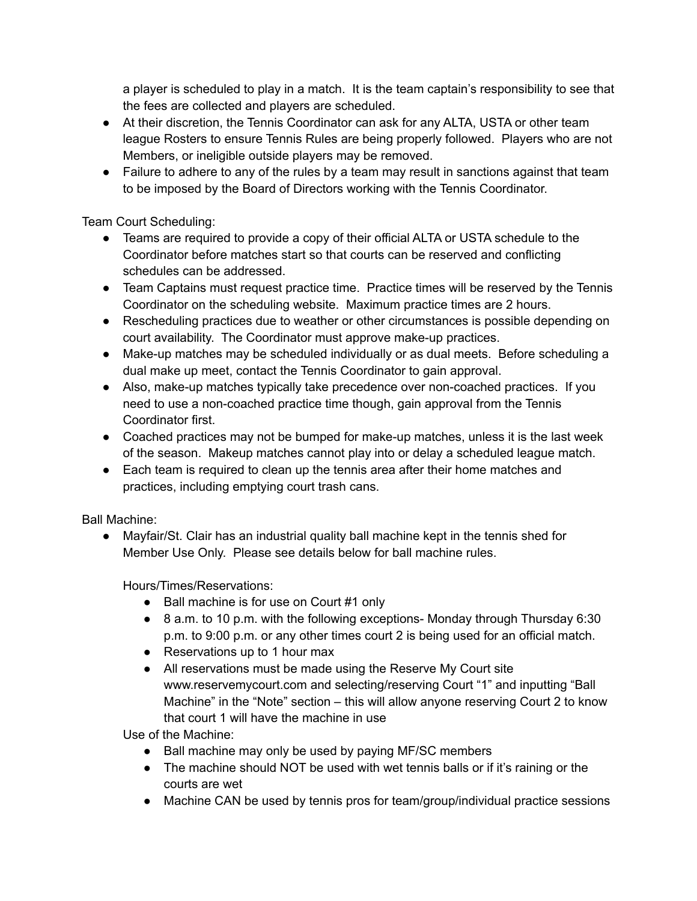a player is scheduled to play in a match. It is the team captain's responsibility to see that the fees are collected and players are scheduled.

- At their discretion, the Tennis Coordinator can ask for any ALTA, USTA or other team league Rosters to ensure Tennis Rules are being properly followed. Players who are not Members, or ineligible outside players may be removed.
- Failure to adhere to any of the rules by a team may result in sanctions against that team to be imposed by the Board of Directors working with the Tennis Coordinator.

Team Court Scheduling:

- Teams are required to provide a copy of their official ALTA or USTA schedule to the Coordinator before matches start so that courts can be reserved and conflicting schedules can be addressed.
- Team Captains must request practice time. Practice times will be reserved by the Tennis Coordinator on the scheduling website. Maximum practice times are 2 hours.
- Rescheduling practices due to weather or other circumstances is possible depending on court availability. The Coordinator must approve make-up practices.
- Make-up matches may be scheduled individually or as dual meets. Before scheduling a dual make up meet, contact the Tennis Coordinator to gain approval.
- Also, make-up matches typically take precedence over non-coached practices. If you need to use a non-coached practice time though, gain approval from the Tennis Coordinator first.
- Coached practices may not be bumped for make-up matches, unless it is the last week of the season. Makeup matches cannot play into or delay a scheduled league match.
- Each team is required to clean up the tennis area after their home matches and practices, including emptying court trash cans.

Ball Machine:

● Mayfair/St. Clair has an industrial quality ball machine kept in the tennis shed for Member Use Only. Please see details below for ball machine rules.

Hours/Times/Reservations:

- Ball machine is for use on Court #1 only
- 8 a.m. to 10 p.m. with the following exceptions- Monday through Thursday 6:30 p.m. to 9:00 p.m. or any other times court 2 is being used for an official match.
- Reservations up to 1 hour max
- All reservations must be made using the Reserve My Court site www.reservemycourt.com and selecting/reserving Court "1" and inputting "Ball Machine" in the "Note" section – this will allow anyone reserving Court 2 to know that court 1 will have the machine in use

Use of the Machine:

- Ball machine may only be used by paying MF/SC members
- The machine should NOT be used with wet tennis balls or if it's raining or the courts are wet
- Machine CAN be used by tennis pros for team/group/individual practice sessions